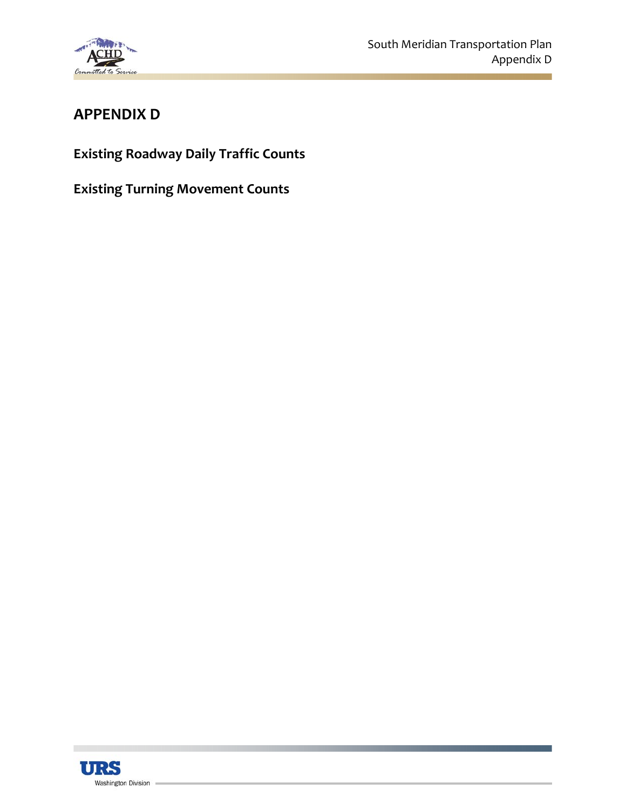

# **APPENDIX D**

**Existing Roadway Daily Traffic Counts**

**Existing Turning Movement Counts**

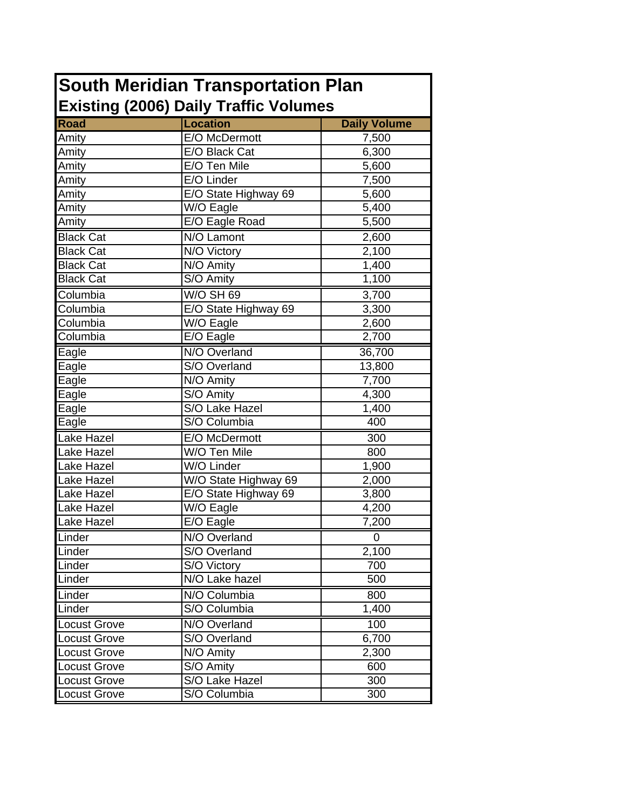| <b>South Meridian Transportation Plan</b>    |                                |                         |  |  |  |  |
|----------------------------------------------|--------------------------------|-------------------------|--|--|--|--|
| <b>Existing (2006) Daily Traffic Volumes</b> |                                |                         |  |  |  |  |
| <b>Road</b>                                  | <b>Location</b>                | <b>Daily Volume</b>     |  |  |  |  |
| Amity                                        | E/O McDermott                  | 7,500                   |  |  |  |  |
| Amity                                        | E/O Black Cat                  | 6,300                   |  |  |  |  |
| Amity                                        | E/O Ten Mile                   | 5,600                   |  |  |  |  |
| Amity                                        | E/O Linder                     | 7,500                   |  |  |  |  |
| Amity                                        | E/O State Highway 69           | 5,600                   |  |  |  |  |
| Amity                                        | W/O Eagle                      | 5,400                   |  |  |  |  |
| Amity                                        | E/O Eagle Road                 | 5,500                   |  |  |  |  |
| <b>Black Cat</b>                             | N/O Lamont                     | 2,600                   |  |  |  |  |
| <b>Black Cat</b>                             | N/O Victory                    | 2,100                   |  |  |  |  |
| <b>Black Cat</b>                             | N/O Amity                      | 1,400                   |  |  |  |  |
| <b>Black Cat</b>                             | S/O Amity                      | 1,100                   |  |  |  |  |
| Columbia                                     | $\overline{W/O}$ SH 69         | 3,700                   |  |  |  |  |
| Columbia                                     | E/O State Highway 69           | 3,300                   |  |  |  |  |
| Columbia                                     | W/O Eagle                      | 2,600                   |  |  |  |  |
| Columbia                                     | E/O Eagle                      | 2,700                   |  |  |  |  |
| Eagle                                        | N/O Overland                   | 36,700                  |  |  |  |  |
| Eagle                                        | S/O Overland                   | 13,800                  |  |  |  |  |
| Eagle                                        | N/O Amity                      | 7,700                   |  |  |  |  |
| Eagle                                        | S/O Amity                      | 4,300                   |  |  |  |  |
| Eagle                                        | S/O Lake Hazel                 | 1,400                   |  |  |  |  |
| Eagle                                        | S/O Columbia                   | 400                     |  |  |  |  |
| Lake Hazel                                   | E/O McDermott                  | 300                     |  |  |  |  |
| Lake Hazel                                   | W/O Ten Mile                   | 800                     |  |  |  |  |
| Lake Hazel                                   | W/O Linder                     | 1,900                   |  |  |  |  |
| <b>Lake Hazel</b>                            | W/O State Highway 69           | 2,000                   |  |  |  |  |
| Lake Hazel                                   | E/O State Highway 69           | 3,800                   |  |  |  |  |
| Lake Hazel                                   | W/O Eagle                      | 4,200                   |  |  |  |  |
| Lake Hazel                                   | $\overline{E/O}$ Eagle         | 7,200                   |  |  |  |  |
| Linder                                       | N/O Overland                   | 0                       |  |  |  |  |
| Linder                                       | S/O Overland                   | 2,100                   |  |  |  |  |
| Linder                                       | S/O Victory                    | 700                     |  |  |  |  |
| Linder                                       | N/O Lake hazel                 | 500                     |  |  |  |  |
| Linder                                       | N/O Columbia                   | 800                     |  |  |  |  |
| Linder                                       | S/O Columbia                   | 1,400                   |  |  |  |  |
| <b>Locust Grove</b>                          | N/O Overland                   | 100                     |  |  |  |  |
| <b>Locust Grove</b>                          | S/O Overland                   | 6,700                   |  |  |  |  |
| <b>Locust Grove</b>                          | N/O Amity                      | 2,300                   |  |  |  |  |
| <b>Locust Grove</b>                          | S/O Amity                      | 600                     |  |  |  |  |
|                                              |                                |                         |  |  |  |  |
| <b>Locust Grove</b><br><b>Locust Grove</b>   | S/O Lake Hazel<br>S/O Columbia | 300<br>$\overline{300}$ |  |  |  |  |
|                                              |                                |                         |  |  |  |  |

7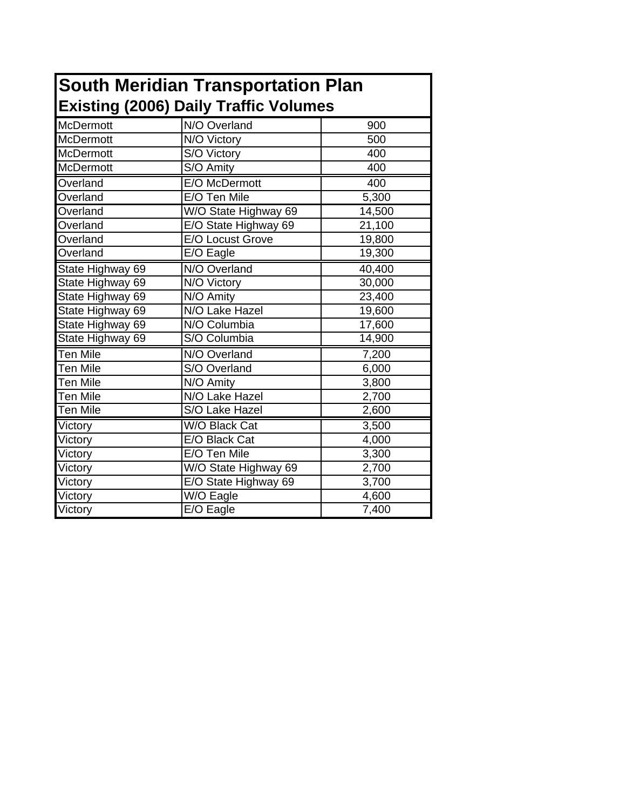|                                              | <b>South Meridian Transportation Plan</b> |        |  |  |  |
|----------------------------------------------|-------------------------------------------|--------|--|--|--|
| <b>Existing (2006) Daily Traffic Volumes</b> |                                           |        |  |  |  |
| <b>McDermott</b>                             | N/O Overland                              | 900    |  |  |  |
| <b>McDermott</b>                             | N/O Victory                               | 500    |  |  |  |
| <b>McDermott</b>                             | S/O Victory                               | 400    |  |  |  |
| McDermott                                    | S/O Amity                                 | 400    |  |  |  |
| Overland                                     | E/O McDermott                             | 400    |  |  |  |
| Overland                                     | E/O Ten Mile                              | 5,300  |  |  |  |
| Overland                                     | W/O State Highway 69                      | 14,500 |  |  |  |
| Overland                                     | E/O State Highway 69                      | 21,100 |  |  |  |
| Overland                                     | E/O Locust Grove                          | 19,800 |  |  |  |
| Overland                                     | E/O Eagle                                 | 19,300 |  |  |  |
| State Highway 69                             | N/O Overland                              | 40,400 |  |  |  |
| State Highway 69                             | N/O Victory                               | 30,000 |  |  |  |
| State Highway 69                             | N/O Amity                                 | 23,400 |  |  |  |
| State Highway 69                             | N/O Lake Hazel                            | 19,600 |  |  |  |
| State Highway 69                             | N/O Columbia                              | 17,600 |  |  |  |
| State Highway 69                             | S/O Columbia                              | 14,900 |  |  |  |
| <b>Ten Mile</b>                              | N/O Overland                              | 7,200  |  |  |  |
| Ten Mile                                     | S/O Overland                              | 6,000  |  |  |  |
| Ten Mile                                     | N/O Amity                                 | 3,800  |  |  |  |
| Ten Mile                                     | N/O Lake Hazel                            | 2,700  |  |  |  |
| <b>Ten Mile</b>                              | S/O Lake Hazel                            | 2,600  |  |  |  |
| Victory                                      | W/O Black Cat                             | 3,500  |  |  |  |
| Victory                                      | E/O Black Cat                             | 4,000  |  |  |  |
| Victory                                      | E/O Ten Mile                              | 3,300  |  |  |  |
| Victory                                      | W/O State Highway 69                      | 2,700  |  |  |  |
| Victory                                      | E/O State Highway 69                      | 3,700  |  |  |  |
| Victory                                      | W/O Eagle                                 | 4,600  |  |  |  |
| Victory                                      | E/O Eagle                                 | 7,400  |  |  |  |

٦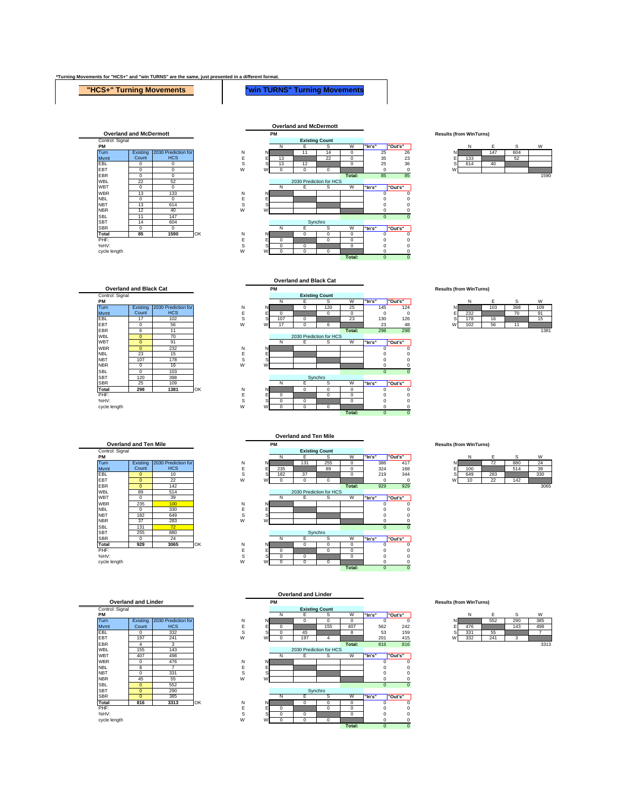## **\*Turning Movements for "HCS+" and "win TURNS" are the same, just presented in a different format.**

## **"HCS+" Turning Movements "win TURNS" Turning Movements**





|        | Ν   | E   | Ś   | W    |
|--------|-----|-----|-----|------|
| N      |     | 147 | 604 |      |
|        | 133 |     | 52  |      |
| E<br>S | 614 | 40  |     |      |
| W      |     |     |     |      |
|        |     |     |     | 1000 |

Control: Signal<br>PM MBL 0 70<br>
WBL 0 91<br>
WBR 0 23<br>
NBL 23 15<br>
NBT 107 178 SBL 0 103<br>SBT 120 398<br>SBR 25 109 **Overland and Black Cat** 2030 Prediction for HCS Existing Count

**Overland and Ten Mile**<br> **Control: Signal** Exis **Count** 









**PM Results (from WinTurns)** PM NE SW <mark>"In's" |"Out's" |</mark> NE SW |"Note" | NE SW<br>Turn | Existing |2030 Prediction for N N 131 255 0 386 417 N <mark>12 880 24</mark><br>Mvmt Count HCS E E 235 89 0 324 168 E 100 52 514 39 EBL | 0 | 10 | S S| 182 | 37 | 10 | 219 344 S| 649 | 283 | 330 EBT | 0 | 22 | W W| 0 | 0 | 0 | 0 | 0 0 0 W| 10 | 22 | 142 EBR 0 142 **Total:** 929 929 3065 WBT 0 39 N E S W **"In's" "Out's"** WBR | 235 <mark>| 100 |</mark> N N | | | | | | | 0 0 NBL | 0 | 330 | E E | | | | | | 0 0 NBT | 182 | 649 | SSS| | | | | | | | | 0 0 NBR | 37 | 283 | W W | | | | | | | | 0 0 SBL 131 72 0 0 SBR 0 24 N E S W **"In's" "Out's" Total 929 3065** OK N N 0 0 0 0 0 PHF: E E 0 0 0 0 0 %HV: S S 0 0 0 0 0 cycle length W W 0 0 0 0 0 **Total:** 0 0 **Existing Count Overland and Ten Mile** 2030 Prediction for HCS Synchro

|   | N   | F   | S   | W    |
|---|-----|-----|-----|------|
| N |     | 72  | 880 | 24   |
| Е | 100 |     | 514 | 39   |
| S | 649 | 283 |     | 330  |
| W | 10  | 22  | 142 |      |
|   |     |     |     | 2005 |



|   | N   | F   | S   | W    |
|---|-----|-----|-----|------|
| Ν |     | 552 | 290 | 385  |
|   | 476 |     | 143 | 498  |
| Ś | 331 | 55  |     |      |
| W | 332 | 241 |     |      |
|   |     |     |     | 3313 |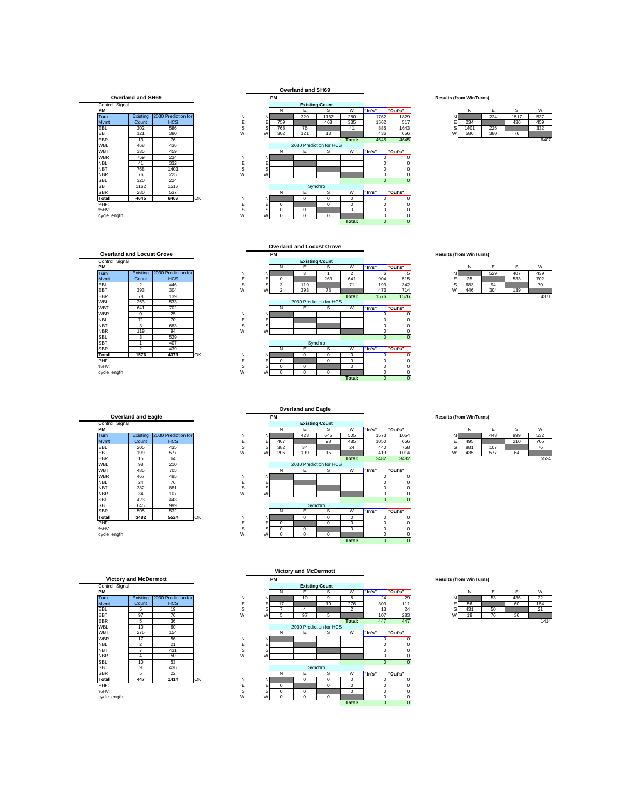## **Overland and SH69**

| Control: Signal<br>PМ |          |                     |    |
|-----------------------|----------|---------------------|----|
| Turn                  | Existing | 2030 Prediction for |    |
| Mymt                  | Count    | <b>HCS</b>          |    |
| <b>FBI</b>            | 302      | 586                 |    |
| <b>FBT</b>            | 121      | 380                 |    |
| <b>FBR</b>            | 13       | 76                  |    |
| <b>WBL</b>            | 468      | 436                 |    |
| <b>WBT</b>            | 335      | 459                 |    |
| <b>WBR</b>            | 759      | 234                 |    |
| <b>NBI</b>            | 41       | 332                 |    |
| <b>NBT</b>            | 768      | 1401                |    |
| <b>NBR</b>            | 76       | 225                 |    |
| SBI                   | 320      | 224                 |    |
| <b>SBT</b>            | 1162     | 1517                |    |
| <b>SBR</b>            | 280      | 537                 |    |
| Total                 | 4645     | 6407                | OK |
| PHF:                  |          |                     |    |
| %HV:                  |          |                     |    |

## **Overland and SH69**



|   | N    | F   | S    | W   |
|---|------|-----|------|-----|
| Ν |      | 224 | 1517 | 537 |
| Е | 234  |     | 436  | 459 |
| s | 1401 | 225 |      | 332 |
| W | 586  | 380 | 76   |     |

## **Overland and Locust Grove**

| Overland and Locust Grove |                |                     |  |  |  |
|---------------------------|----------------|---------------------|--|--|--|
| Control: Signal<br>PM     |                |                     |  |  |  |
| Turn                      | Existing       | 2030 Prediction for |  |  |  |
| Mymt                      | Count          | <b>HCS</b>          |  |  |  |
| EBL                       | 2              | 446                 |  |  |  |
| EBT                       | 393            | 304                 |  |  |  |
| <b>EBR</b>                | 78             | 139                 |  |  |  |
| <b>WBL</b>                | 263            | 533                 |  |  |  |
| <b>WBT</b>                | 641            | 702                 |  |  |  |
| <b>WBR</b>                | 0              | 25                  |  |  |  |
| <b>NBL</b>                | 71             | 70                  |  |  |  |
| <b>NBT</b>                | 3              | 683                 |  |  |  |
| <b>NBR</b>                | 119            | 94                  |  |  |  |
| SBI                       | 3              | 529                 |  |  |  |
| <b>SBT</b>                | 1              | 407                 |  |  |  |
| <b>SBR</b>                | $\overline{2}$ | 439                 |  |  |  |
| <b>Total</b>              | 1576           | C<br>4371           |  |  |  |
| PHF:                      |                |                     |  |  |  |

**Overland and Locust Grove**

| <b>Overland and Eagle</b> |          |                     |    |  |  |  |
|---------------------------|----------|---------------------|----|--|--|--|
| Control: Signal           |          |                     |    |  |  |  |
| PМ                        |          |                     |    |  |  |  |
| Turn                      | Existing | 2030 Prediction for |    |  |  |  |
| Mymt                      | Count    | <b>HCS</b>          |    |  |  |  |
| <b>FBI</b>                | 205      | 435                 |    |  |  |  |
| <b>FBT</b>                | 199      | 577                 |    |  |  |  |
| <b>FBR</b>                | 15       | 64                  |    |  |  |  |
| <b>WBL</b>                | 98       | 210                 |    |  |  |  |
| <b>WBT</b>                | 485      | 705                 |    |  |  |  |
| <b>WBR</b>                | 467      | 495                 |    |  |  |  |
| <b>NBI</b>                | 24       | 76                  |    |  |  |  |
| <b>NBT</b>                | 382      | 881                 |    |  |  |  |
| <b>NBR</b>                | 34       | 107                 |    |  |  |  |
| SBI                       | 423      | 443                 |    |  |  |  |
| <b>SBT</b>                | 645      | 999                 |    |  |  |  |
| <b>SBR</b>                | 505      | 532                 |    |  |  |  |
| Total                     | 3482     | 5524                | O۲ |  |  |  |
| PHF:                      |          |                     |    |  |  |  |
| %HV:                      |          |                     |    |  |  |  |

WBL 10 60 SBT | 9 | 436 **Victory and McDermott** Existing **Count** 2030 Prediction for HCS



|        | N   | F   | S   | W    |
|--------|-----|-----|-----|------|
| Ν      |     | 529 | 407 | 439  |
| E<br>S | 25  |     | 533 | 702  |
|        | 683 | 94  |     | 70   |
| W      | 446 | 304 | 139 |      |
|        |     |     |     | 4371 |

|                 |                           |                     |    |   |   |             | <b>Overland and Eagle</b> |                       |             |             |         |
|-----------------|---------------------------|---------------------|----|---|---|-------------|---------------------------|-----------------------|-------------|-------------|---------|
|                 | <b>Overland and Eagle</b> |                     |    |   |   | <b>PM</b>   |                           |                       |             |             |         |
| Control: Signal |                           |                     |    |   |   |             |                           | <b>Existing Count</b> |             |             |         |
| PМ              |                           |                     |    |   |   | N           | Е                         | s                     | W           | "In's"      | "Out's" |
| Turn            | Existing                  | 2030 Prediction for |    | N | N |             | 423                       | 645                   | 505         | 1573        | 105     |
| Mvmt            | Count                     | <b>HCS</b>          |    | E | F | 467         |                           | 98                    | 485         | 1050        | 65      |
| <b>EBL</b>      | 205                       | 435                 |    | s | s | 382         | 34                        |                       | 24          | 440         | 75      |
| EBT             | 199                       | 577                 |    | W | W | 205         | 199                       | 15                    |             | 419         | 101     |
| EBR             | 15                        | 64                  |    |   |   |             |                           |                       | Total:      | 3482        | 348     |
| WBL             | 98                        | 210                 |    |   |   |             | 2030 Prediction for HCS   |                       |             |             |         |
| WBT             | 485                       | 705                 |    |   |   | N           | E                         | s                     | W           | "In's"      | "Out's" |
| <b>WBR</b>      | 467                       | 495                 |    | N | N |             |                           |                       |             | 0           |         |
| <b>NBL</b>      | 24                        | 76                  |    | E | Е |             |                           |                       |             |             |         |
| <b>NBT</b>      | 382                       | 881                 |    | S | S |             |                           |                       |             | 0           |         |
| NBR.            | 34                        | 107                 |    | W | W |             |                           |                       |             | 0           |         |
| SBL             | 423                       | 443                 |    |   |   |             |                           |                       |             | $\mathbf 0$ |         |
| SBT             | 645                       | 999                 |    |   |   |             |                           | Synchro               |             |             |         |
| SBR             | 505                       | 532                 |    |   |   | N           | E                         | s                     | W           | "In's"      | "Out's" |
| Total           | 3482                      | 5524                | OK | N | N |             | 0                         | $\Omega$              | 0           | U           |         |
| PHF:            |                           |                     |    | E | Е | $\mathbf 0$ |                           | $\mathbf 0$           | 0           | 0           |         |
| %HV:            |                           |                     |    | s | s | $\mathbf 0$ | 0                         |                       | $\mathbf 0$ | 0           |         |
| cycle length    |                           |                     |    | W | W | $\mathbf 0$ | 0                         | $\mathbf 0$           |             | 0           |         |

**Results (from WinTurns)** 

|         | N   | F   | S   | W    |
|---------|-----|-----|-----|------|
| N       |     | 443 | 999 | 532  |
| ts<br>S | 495 |     | 210 | 705  |
|         | 881 | 107 |     | 76   |
| w       | 435 | 577 | 64  |      |
|         |     |     |     | EEOA |



**PM Results (from WinTurns)** Control: Signal Politics and Decembent March 2001<br>2010 **- PMP NE SW NE SW 1980 Prediction for** NN N<mark>E SW 10 | 9 | 5 24 29 NE 53 | 436 | 22</mark><br>Turn | Existing |2030 Prediction for Mvmt E E 17 10 276 303 111 E 56 60 154 EBL 5 19 S S 7 4 2 13 24 S 431 50 21 EBT 97 76 W W 5 97 5 107 283 W 19 76 36 EBR 5 36 **Total:** 447 447 1414 WBT 276 154 N E S W **"In's" "Out's"** WBR | 17 | 56 | N N | | | | | | 0 0 NBL | 2 | 21 | E E | | | | 0 0 NBT | 7 | 431 | S S | | | | | | 0 0 NBR | 4 | 50 | W W | | | | | | | 0 0 SBL 10 53 0 0 SBR 5 22 N E S W **"In's" "Out's" Total 447 1414** OK N N 0 0 0 0 0 PHF: E E 0 0 0 0 0 %HV: S S 0 0 0 0 0 cycle length W W 0 0 0 0 0 **Total:** 0 0 **Victory and McDermott Existing Count** 2030 Prediction for HCS Synchro

|        | N   | E  | S   | W    |
|--------|-----|----|-----|------|
| Ν      |     | 53 | 436 | 22   |
| E<br>Ξ | 56  |    | 60  | 154  |
| S      | 431 | 50 |     | 21   |
| W      | 19  | 76 | 36  |      |
|        |     |    |     | 1414 |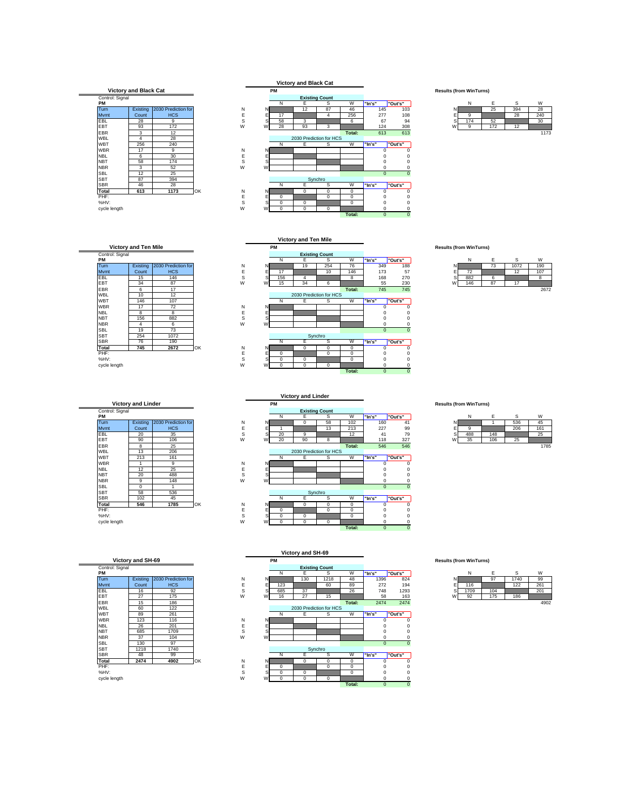

**Existing** Count

PHF: E E 0 0 0 0 0 %HV: S S 0 0 0 0 0

cycle length W W 0 0 0 0 0

Control: Signal<br>PM



|              | N   | F.  | ς   | W   |
|--------------|-----|-----|-----|-----|
|              |     | 25  | 394 | 28  |
| $\mathsf{E}$ |     |     | 28  | 240 |
|              | 174 | 52  |     | 30  |
| W            |     | 172 | 12  |     |
|              |     |     |     | .   |

 $\begin{tabular}{|c|c|c|c|c|} \hline \text{EBR} & \text{6} & \text{17} \\ \hline \text{WBL} & \text{10} & \text{12} \\ \hline \text{WBT} & \text{146} & \text{107} \\ \hline \text{WBR} & \text{17} & \text{72} \\ \hline \text{B} & \text{8} & \text{8} \\ \hline \text{18} & \text{156} & \text{88} \\ \hline \text{18} & \text{18} & \text{6} \\ \hline \end{tabular}$ SBL 19 73<br>
SBT 254 1072<br>
SBR 76 190<br>
Total 745 2672 **Victory and Ten Mile** 2030 Prediction for HCS

**PM Results (from WinTurns) PM** NE SW **"In's" "Out's"** NE SW Turn N N 19 254 76 349 188 N 73 1072 190 Mvmt E E 17 10 146 173 57 E 72 12 107 EBL | 15 | 146 | S S| 156 | 4 | | 8 | 168 270 S| 882 | 6 | | 8 EBT 34 87 W W 15 34 6 55 230 W 146 87 17 EBR 6 17 **Total:** 745 745 2672 WBT 146 107 N E S W **"In's" "Out's"** WBR | 17 | 72 | N N | | | | | | 0 0 NBL 8 8 E E 0 0 NBT | 156 | 882 | SSS| | | | | | | | 0 0 NBR | 4 | 6 | W W | | | | | | | 0 0 SBL | 19 | 73 | 2000 | 2000 | 2000 | 2000 | 2000 | 2000 | 2000 | 2000 | 2000 | 2000 | 2000 | 2000 | 2000 | 200 SBR 76 190 N E S W **"In's" "Out's" Total 745 2672** OK N N 0 0 0 0 0 PHF: E E 0 0 0 0 0 %HV: S S 0 0 0 0 0 cycle length W W 0 0 0 0 0 **Total:** 0 0 **Victory and Ten Mile Existing Count** 2030 Prediction for HCS Synchr

**Total:** 0 0

|   | N   | E  | S    | W               |
|---|-----|----|------|-----------------|
|   |     | 73 | 1072 | 190             |
| E | 72  |    | 12   | 10 <sup>7</sup> |
| S | 882 |    |      |                 |
|   | 146 |    | 17   |                 |
|   |     |    |      | 2672            |

| Control: Signal<br>PМ |             |                     |
|-----------------------|-------------|---------------------|
| Turn                  | Existing    | 2030 Prediction for |
| Mymt                  | Count       | <b>HCS</b>          |
| EBL                   | 20          | 35                  |
| EBT                   | 90          | 106                 |
| <b>EBR</b>            | 8           | 25                  |
| <b>WBL</b>            | 13          | 206                 |
| <b>WBT</b>            | 213         | 161                 |
| <b>WBR</b>            | 1           | 9                   |
| <b>NBL</b>            | 12          | 25                  |
| <b>NBT</b>            | 20          | 488                 |
| <b>NBR</b>            | 9           | 148                 |
| SBI                   | $\mathbf 0$ |                     |
| <b>SBT</b>            | 58          | 536                 |
| <b>SBR</b>            | 102         | 45                  |
| Total                 | 546         | 1785                |

| Control: Signal<br>PМ |          |                     |
|-----------------------|----------|---------------------|
| Turn                  | Existing | 2030 Prediction for |
| Mymt                  | Count    | <b>HCS</b>          |
| <b>FBI</b>            | 16       | 92                  |
| <b>FBT</b>            | 27       | 175                 |
| <b>FBR</b>            | 15       | 186                 |
| <b>WBL</b>            | 60       | 122                 |
| WBT                   | 89       | 261                 |
| <b>WBR</b>            | 123      | 116                 |
| <b>NBI</b>            | 26       | 201                 |
| <b>NBT</b>            | 685      | 1709                |
| <b>NBR</b>            | 37       | 104                 |
| SBI                   | 130      | 97                  |
| <b>SBT</b>            | 1218     | 1740                |
| <b>SBR</b>            | 48       | 99                  |
| Total                 | 2474     | 4902                |



|   | N   | F   | S   | W   |
|---|-----|-----|-----|-----|
| N |     |     | 536 | 45  |
| E |     |     | 206 | 161 |
| s | 488 | 148 |     | 25  |
| W | 35  | 106 | 25  |     |



|   | N    | F   | S    | W    |
|---|------|-----|------|------|
| Ν |      | 97  | 1740 | 99   |
| E | 116  |     | 122  | 261  |
| s | 1709 | 104 |      | 201  |
| W | 92   | 175 | 186  |      |
|   |      |     |      | 1002 |

|   | . . |     |     | . .  |
|---|-----|-----|-----|------|
|   |     |     | 536 |      |
| Ξ | a   |     | 206 | 161  |
| S | 188 | 148 |     | 25   |
|   | 35  | 106 | 25  |      |
|   |     |     |     | 1705 |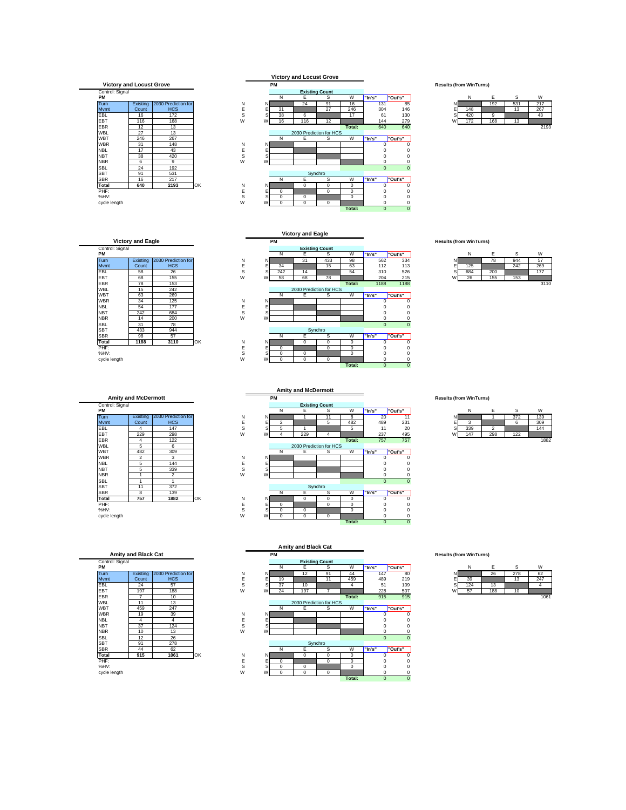## **Victory and Locust Grove**



| Control: Signal |          |                     |
|-----------------|----------|---------------------|
| PM              |          |                     |
| Turn            | Existing | 2030 Prediction for |
| Mymt            | Count    | <b>HCS</b>          |
| EBL.            | 58       | 26                  |
| EBT             | 68       | 155                 |
| <b>FBR</b>      | 78       | 153                 |
| <b>WBL</b>      | 15       | 242                 |
| <b>WBT</b>      | 63       | 269                 |
| <b>WBR</b>      | 34       | 125                 |
| <b>NBL</b>      | 54       | 177                 |
| <b>NBT</b>      | 242      | 684                 |
| <b>NBR</b>      | 14       | 200                 |
| SBI             | 31       | 78                  |
| <b>SBT</b>      | 433      | 944                 |
| <b>SBR</b>      | 98       | 57                  |
| Total           | 1188     | 3110                |

|                 | <b>Amity and McDermott</b> |                     |    |
|-----------------|----------------------------|---------------------|----|
| Control: Signal |                            |                     |    |
| PM              |                            |                     |    |
| Turn            | Existing                   | 2030 Prediction for |    |
| Mymt            | Count                      | <b>HCS</b>          |    |
| EBL             | 4                          | 147                 |    |
| EBT             | 229                        | 298                 |    |
| <b>FBR</b>      | 4                          | 122                 |    |
| <b>WBL</b>      | 5                          | 6                   |    |
| WBT             | 482                        | 309                 |    |
| <b>WBR</b>      | 2                          | 3                   |    |
| <b>NBI</b>      | 5                          | 144                 |    |
| <b>NBT</b>      | 5                          | 339                 |    |
| <b>NBR</b>      | 1                          | 2                   |    |
| SBI             | 1                          |                     |    |
| <b>SBT</b>      | 11                         | 372                 |    |
| <b>SBR</b>      | 8                          | 139                 |    |
| Total           | 757                        | 1882                | ŌK |
| PHF:            |                            |                     |    |
| %HV:            |                            |                     |    |

| Control: Signal |          |                     |
|-----------------|----------|---------------------|
| PМ              |          |                     |
| Turn            | Existina | 2030 Prediction for |
| Mymt            | Count    | <b>HCS</b>          |
| <b>FBI</b>      | 24       | 57                  |
| <b>FBT</b>      | 197      | 188                 |
| <b>FBR</b>      | 7        | 10                  |
| <b>WBL</b>      | 11       | 13                  |
| WBT             | 459      | 247                 |
| <b>WBR</b>      | 19       | 39                  |
| <b>NBI</b>      | 4        | 4                   |
| <b>NBT</b>      | 37       | 124                 |
| <b>NBR</b>      | 10       | 13                  |
| SBI             | 12       | 26                  |
| <b>SBT</b>      | 91       | 278                 |
| <b>SBR</b>      | 44       | 62                  |
| Total           | 915      | 1061                |





|   | Ν   | F   | s   | W    |
|---|-----|-----|-----|------|
| N |     | 192 | 531 | 217  |
| E | 148 |     | 13  | 267  |
| s | 420 |     |     | 43   |
|   | 172 | 168 | 13  |      |
|   |     |     |     | 2193 |

**PM Results (from WinTurns)** PM | Existing 2030 Prediction for<br>
Turn | Existing 2030 Prediction for N N 51 433 98 562 334 N E S W<br>
MWmtt Count HCS E E 34 15 63 112 113 E 125 242 269<br>
EBL 58 26 S S 242 14 54 310 526 S 684 200 177<br>
EBT 68 155 W W 58 68 WBT 63 269 N E S W **"In's" "Out's"** WBR 34 125 N N 0 0 NBL | 54 | 177 | E E | | | | | | 0 0 NBT | 242 | 684 | SSS| | | | | | | | | | 0 0 NBR | 14 | 200 | W W | | | | | | | 0 0 SBL 31 78 0 0 0 SBR 98 57 N E S W **"In's" "Out's" Total 1188 3110** OK N N 0 0 0 0 0 PHF: E E 0 0 0 0 0 %HV: S S 0 0 0 0 0 cycle length W W 0 0 0 0 0 **Total:** 0 0 **Victory and Eagle Existing Count** 2030 Prediction for HCS<br>E Synchro

|   | N   | F   | S   | W    |
|---|-----|-----|-----|------|
| N |     | 78  | 944 | 57   |
|   | 125 |     | 242 | 269  |
| S | 684 | 200 |     | 177  |
| W | 26  | 155 | 153 |      |
|   |     |     |     | 3110 |

|                 |                            |                     |    |   |    |                | <b>Amity and McDermott</b> |                         |          |        |                             |   |                                |                |     |      |
|-----------------|----------------------------|---------------------|----|---|----|----------------|----------------------------|-------------------------|----------|--------|-----------------------------|---|--------------------------------|----------------|-----|------|
|                 | <b>Amity and McDermott</b> |                     |    |   |    | <b>PM</b>      |                            |                         |          |        |                             |   | <b>Results (from WinTurns)</b> |                |     |      |
| Control: Signal |                            |                     |    |   |    |                |                            | <b>Existing Count</b>   |          |        |                             |   |                                |                |     |      |
| PМ              |                            |                     |    |   |    | N              | Е                          | s                       | W        | "In's" | "Out's"                     |   | N                              | Е              | s   | W    |
| Turn            | Existing                   | 2030 Prediction for |    | Ν | N  |                |                            | 11                      | 8        |        | 20<br>11                    |   |                                |                | 372 | 139  |
| Mvmt            | Count                      | <b>HCS</b>          |    | Ε |    | $\overline{2}$ |                            | 5                       | 482      |        | 231<br>489                  |   | 3                              |                | 6   | 309  |
| EBL             | 4                          | 147                 |    | s |    | ь              |                            |                         | 5        |        | 11<br>20                    |   | 339                            | $\overline{2}$ |     | 144  |
| EBT             | 229                        | 298                 |    | W | W  | 4              | 229                        | $\overline{4}$          |          |        | 237<br>495                  | W | 147                            | 298            | 122 |      |
| EBR             | 4                          | 122                 |    |   |    |                |                            |                         | Total:   |        | 757<br>757                  |   |                                |                |     | 1882 |
| WBL             | 5                          | 6                   |    |   |    |                |                            | 2030 Prediction for HCS |          |        |                             |   |                                |                |     |      |
| WBT             | 482                        | 309                 |    |   |    | N              | E                          | s                       | W        | "In's" | "Out's"                     |   |                                |                |     |      |
| WBR             | $\overline{2}$             | 3                   |    | Ν | N  |                |                            |                         |          |        |                             |   |                                |                |     |      |
| <b>NBL</b>      | 5                          | 144                 |    | E |    |                |                            |                         |          |        |                             |   |                                |                |     |      |
| <b>NBT</b>      | 5                          | 339                 |    | S |    |                |                            |                         |          |        |                             |   |                                |                |     |      |
| NBR             |                            | $\mathfrak{p}$      |    | W | W  |                |                            |                         |          |        |                             |   |                                |                |     |      |
| SBL             |                            |                     |    |   |    |                |                            |                         |          |        | $\mathbf{0}$<br>$\mathbf 0$ |   |                                |                |     |      |
| SBT             | 11                         | 372                 |    |   |    |                |                            | Synchro                 |          |        |                             |   |                                |                |     |      |
| SBR             | 8                          | 139                 |    |   |    | N              | Е                          | s                       | W        | "In's" | "Out's"                     |   |                                |                |     |      |
| Total           | 757                        | 1882                | OK | Ν | N. |                | 0                          | 0                       | 0        |        |                             |   |                                |                |     |      |
| PHF:            |                            |                     |    | E | Е  | $\Omega$       |                            | $^{\circ}$              | 0        |        | C                           |   |                                |                |     |      |
| %HV:            |                            |                     |    | s |    | $\Omega$       | 0                          |                         | $\Omega$ |        |                             |   |                                |                |     |      |
| cycle length    |                            |                     |    | W | W  | $^{\circ}$     | 0                          | $^{\circ}$              |          |        |                             |   |                                |                |     |      |
|                 |                            |                     |    |   |    |                |                            |                         | Total:   |        | $\mathbf{0}$                |   |                                |                |     |      |
|                 |                            |                     |    |   |    |                |                            |                         |          |        |                             |   |                                |                |     |      |

|   | N   | F   | ċ   | W   |
|---|-----|-----|-----|-----|
|   |     |     | 372 | 139 |
|   |     |     | n   | 309 |
| S | 339 |     |     | 144 |
| W | 147 | 298 | 122 |     |
|   |     |     |     | .   |



|   | Allilly dily Diduk Gal |  |  |
|---|------------------------|--|--|
| Ŵ |                        |  |  |

|                 | Allilly and Diack Cat |                     |    |             |    | .        |     |                         |             |        |          |   |     | $\frac{1}{2}$ |     |  |  |  |  |  |  |  |  |   |   |      |  |  |  |
|-----------------|-----------------------|---------------------|----|-------------|----|----------|-----|-------------------------|-------------|--------|----------|---|-----|---------------|-----|--|--|--|--|--|--|--|--|---|---|------|--|--|--|
| Control: Signal |                       |                     |    |             |    |          |     | <b>Existing Count</b>   |             |        |          |   |     |               |     |  |  |  |  |  |  |  |  |   |   |      |  |  |  |
| PМ              |                       |                     |    |             |    | N        | Е   | s                       | W           | "In's" | "Out's"  |   | N   | E             | s   |  |  |  |  |  |  |  |  |   | W |      |  |  |  |
| <b>Turn</b>     | Existing              | 2030 Prediction for |    | N           | N  |          | 12  | 91                      | 44          | 147    | 80       |   |     | 26            | 278 |  |  |  |  |  |  |  |  |   |   | 62   |  |  |  |
| Mvmt            | Count                 | <b>HCS</b>          |    | Е           |    | 19       |     | 11                      | 459         | 489    | 219      |   | 39  |               | 13  |  |  |  |  |  |  |  |  |   |   | 247  |  |  |  |
| EBL             | 24                    | 57                  |    | s           |    | 37       | 10  |                         | 4           | 51     | 109      |   | 124 | 13            |     |  |  |  |  |  |  |  |  | 4 |   |      |  |  |  |
| EBT             | 197                   | 188                 |    | W           | W  | 24       | 197 |                         |             | 228    | 507      | W | 57  | 188           | 10  |  |  |  |  |  |  |  |  |   |   |      |  |  |  |
| EBR             |                       | 10                  |    |             |    |          |     |                         | Total:      | 915    | 915      |   |     |               |     |  |  |  |  |  |  |  |  |   |   | 1061 |  |  |  |
| WBL             | 11                    | 13                  |    |             |    |          |     | 2030 Prediction for HCS |             |        |          |   |     |               |     |  |  |  |  |  |  |  |  |   |   |      |  |  |  |
| WBT             | 459                   | 247                 |    |             |    | N        | Е   | s                       | W           | "In's" | "Out's"  |   |     |               |     |  |  |  |  |  |  |  |  |   |   |      |  |  |  |
| <b>WBR</b>      | 19                    | 39                  |    | N           | N. |          |     |                         |             |        |          |   |     |               |     |  |  |  |  |  |  |  |  |   |   |      |  |  |  |
| <b>NBL</b>      | 4                     | 4                   |    | E           |    |          |     |                         |             |        |          |   |     |               |     |  |  |  |  |  |  |  |  |   |   |      |  |  |  |
| <b>NBT</b>      | 37                    | 124                 |    | S           |    |          |     |                         |             |        |          |   |     |               |     |  |  |  |  |  |  |  |  |   |   |      |  |  |  |
| NBR             | 10                    | 13                  |    | W           | W  |          |     |                         |             |        |          |   |     |               |     |  |  |  |  |  |  |  |  |   |   |      |  |  |  |
| SBL             | 12                    | 26                  |    |             |    |          |     |                         |             |        | $\Omega$ |   |     |               |     |  |  |  |  |  |  |  |  |   |   |      |  |  |  |
| SBT             | 91                    | 278                 |    |             |    |          |     | Synchro                 |             |        |          |   |     |               |     |  |  |  |  |  |  |  |  |   |   |      |  |  |  |
| SBR             | 44                    | 62                  |    |             |    |          | E   | s                       | W           | "In's" | "Out's"  |   |     |               |     |  |  |  |  |  |  |  |  |   |   |      |  |  |  |
| Total           | 915                   | 1061                | OK | N           | NI |          | 0   | 0                       | 0           |        |          |   |     |               |     |  |  |  |  |  |  |  |  |   |   |      |  |  |  |
| PHF:            |                       |                     |    |             |    | $\Omega$ |     | 0                       | 0           |        |          |   |     |               |     |  |  |  |  |  |  |  |  |   |   |      |  |  |  |
| %HV:            |                       |                     |    | $\sim$<br>s |    |          | 0   |                         | $\mathbf 0$ |        |          |   |     |               |     |  |  |  |  |  |  |  |  |   |   |      |  |  |  |
| cycle length    |                       |                     |    | W           | W  | $\Omega$ | 0   | 0                       |             |        |          |   |     |               |     |  |  |  |  |  |  |  |  |   |   |      |  |  |  |
|                 |                       |                     |    |             |    |          |     |                         | Total:      |        | $\Omega$ |   |     |               |     |  |  |  |  |  |  |  |  |   |   |      |  |  |  |

## **Results (from WinTurns)**

|   | Ν   | E   | S   | W    |
|---|-----|-----|-----|------|
|   |     | 26  | 278 | 62   |
| E | 39  |     | 13  | 247  |
| s | 124 | 13  |     |      |
|   |     | 188 | 10  |      |
|   |     |     |     | 1061 |

## **Results (from WinTurns)**

|    | N   | F | S   | W   |
|----|-----|---|-----|-----|
|    |     |   | 372 | 139 |
| Ε  |     |   | 6   | 309 |
| sl | 339 |   |     | 144 |

| ⌒  |  |        |
|----|--|--------|
| ۷V |  |        |
|    |  | $\sim$ |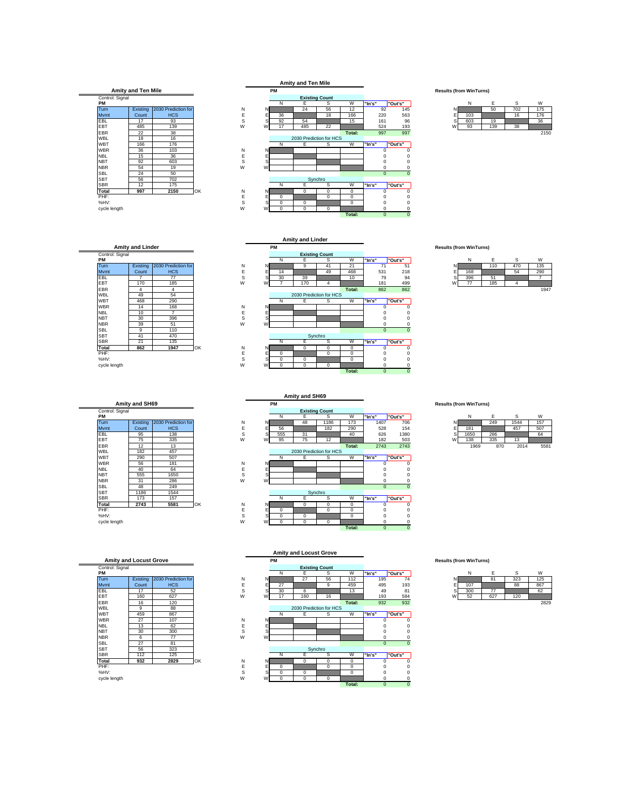



|               | Ν   | F   | Ś   | W    |
|---------------|-----|-----|-----|------|
| N             |     | 50  | 702 | 175  |
| $\frac{E}{S}$ | 103 |     | 16  | 176  |
|               | 603 | 19  |     | 36   |
| W             | 93  | 139 | 38  |      |
|               |     |     |     | ---- |

Control: Signal<br>
PM<br>
Turn  $\begin{tabular}{|c|c|c|c|c|} \hline \rule{0pt}{2ex} \text{EBT} & $-$\begin{array}{c} $1$ & $1$ & $1$ & $1$ \\ \hline \rule{0pt}{2ex} \text{EBT} & $4$ & $4$ & $4$ \\ \text{WBL} & $4$ & $4$ & $4$ \\ \text{WBL} & $4$ & $4$ & $54$ \\ \text{WBR} & $468 & $290$ & $398 \\ \text{NBL} & $10$ & $7$ & $7$ \\ \text{NBR} & $39$ & $51$ \\ \end{array} \end{tabular}$ SBL 9 110<br>
SBT 41 470<br>
SBR 21 135<br>
Total 862 1947 **Amity and Linder** Existing Count 2030 Prediction for HCS

|                       | Amity and SH69 |                     |    |
|-----------------------|----------------|---------------------|----|
| Control: Signal<br>PМ |                |                     |    |
| Turn                  | Existing       | 2030 Prediction for |    |
| Mymt                  | Count          | <b>HCS</b>          |    |
| EBL                   | 95             | 138                 |    |
| <b>FBT</b>            | 75             | 335                 |    |
| <b>FBR</b>            | 12             | 13                  |    |
| <b>WBL</b>            | 182            | 457                 |    |
| WBT                   | 290            | 507                 |    |
| <b>WBR</b>            | 56             | 181                 |    |
| <b>NBI</b>            | 40             | 64                  |    |
| <b>NBT</b>            | 555            | 1650                |    |
| <b>NBR</b>            | 31             | 286                 |    |
| SBI                   | 48             | 249                 |    |
| <b>SBT</b>            | 1186           | 1544                |    |
| <b>SBR</b>            | 173            | 157                 |    |
| Total                 | 2743           | 5581                | OK |
| PHF:                  |                |                     |    |
| %HV:                  |                |                     |    |

| Control: Signal |          |                     |
|-----------------|----------|---------------------|
| PМ              |          |                     |
| Turn            | Existing | 2030 Prediction for |
| Mymt            | Count    | <b>HCS</b>          |
| EBL             | 17       | 52                  |
| <b>FBT</b>      | 160      | 627                 |
| <b>FBR</b>      | 16       | 120                 |
| <b>WBL</b>      | 9        | 88                  |
| <b>WBT</b>      | 459      | 867                 |
| <b>WBR</b>      | 27       | 107                 |
| <b>NBL</b>      | 13       | 62                  |
| <b>NBT</b>      | 30       | 300                 |
| <b>NBR</b>      | 6        | 77                  |
| SBI             | 27       | 81                  |
| <b>SBT</b>      | 56       | 323                 |
| <b>SBR</b>      | 112      | 125                 |
| Total           | 932      | 2829                |



|   | N   | E   | S   | W    |
|---|-----|-----|-----|------|
|   |     | 110 | 470 | 135  |
| E | 168 |     | 54  | 290  |
| S | 396 | 51  |     |      |
| W |     | 185 |     |      |
|   |     |     |     | 1947 |

|                 |                |                     |    |         |          | . .      |                         |          |          |         |   |      |                                |      |
|-----------------|----------------|---------------------|----|---------|----------|----------|-------------------------|----------|----------|---------|---|------|--------------------------------|------|
|                 | Amity and SH69 |                     |    |         | PM       |          |                         |          |          |         |   |      | <b>Results (from WinTurns)</b> |      |
| Control: Signal |                |                     |    |         |          |          | <b>Existing Count</b>   |          |          |         |   |      |                                |      |
| PМ              |                |                     |    |         | N        | Е        | s                       | W        | "In's"   | "Out's" |   | N    | E                              | s    |
| Turn            | Existing       | 2030 Prediction for |    | N<br>N  |          | 48       | 1186                    | 173      | 1407     | 706     |   |      | 249                            | 1544 |
| Mvmt            | Count          | <b>HCS</b>          |    | E       | 56       |          | 182                     | 290      | 528      | 154     |   | 181  |                                | 457  |
| EBL             | 95             | 138                 |    | s       | 555      | 31       |                         | 40       | 626      | 1380    |   | 1650 | 286                            |      |
| EBT             | 75             | 335                 | W  | W       | 95       | 75       | 12                      |          | 182      | 503     | w | 138  | 335                            | 13   |
| EBR             | 12             | 13                  |    |         |          |          |                         | Total:   | 2743     | 2743    |   | 1969 | 870                            | 2014 |
| WBL             | 182            | 457                 |    |         |          |          | 2030 Prediction for HCS |          |          |         |   |      |                                |      |
| WBT             | 290            | 507                 |    |         | N        | Е        | s                       | W        | "In's"   | "Out's" |   |      |                                |      |
| <b>WBR</b>      | 56             | 181                 |    | N<br>N  |          |          |                         |          |          |         |   |      |                                |      |
| <b>NBL</b>      | 40             | 64                  |    | E       |          |          |                         |          |          |         |   |      |                                |      |
| <b>NBT</b>      | 555            | 1650                |    | S       |          |          |                         |          |          | n       |   |      |                                |      |
| NBR             | 31             | 286                 | W  | w       |          |          |                         |          |          |         |   |      |                                |      |
| SBL             | 48             | 249                 |    |         |          |          |                         |          | $\Omega$ |         |   |      |                                |      |
| SBT             | 1186           | 1544                |    |         |          |          | Synchro                 |          |          |         |   |      |                                |      |
| SBR             | 173            | 157                 |    |         |          | Е        | s                       | W        | "In's"   | "Out's" |   |      |                                |      |
| Total           | 2743           | 5581                | OK | Ν<br>NI |          | $\Omega$ | 0                       | 0        |          |         |   |      |                                |      |
| PHF:            |                |                     |    | F       | $\Omega$ |          | $\Omega$                | 0        |          |         |   |      |                                |      |
| %HV:            |                |                     |    | s       |          | 0        |                         | $\Omega$ |          |         |   |      |                                |      |
| cycle length    |                |                     | W  | W       | $\Omega$ | 0        | $^{\circ}$              |          |          |         |   |      |                                |      |
|                 |                |                     |    |         |          |          |                         | Total:   | $\Omega$ |         |   |      |                                |      |

**Amity and SH69**

|   | N    | F   | S    | W    |
|---|------|-----|------|------|
| Ν |      | 249 | 1544 | 157  |
| E | 181  |     | 457  | 507  |
| S | 1650 | 286 |      | 64   |
| W | 138  | 335 | 13   |      |
|   | 1969 | 870 | 2014 | 5581 |



|   | N   | F   | S   | W    |
|---|-----|-----|-----|------|
|   |     | 81  | 323 | 125  |
| E | 107 |     | 88  | 867  |
| s | 300 | 77  |     | 62   |
| W | 52  | 627 | 120 |      |
|   |     |     |     | 0000 |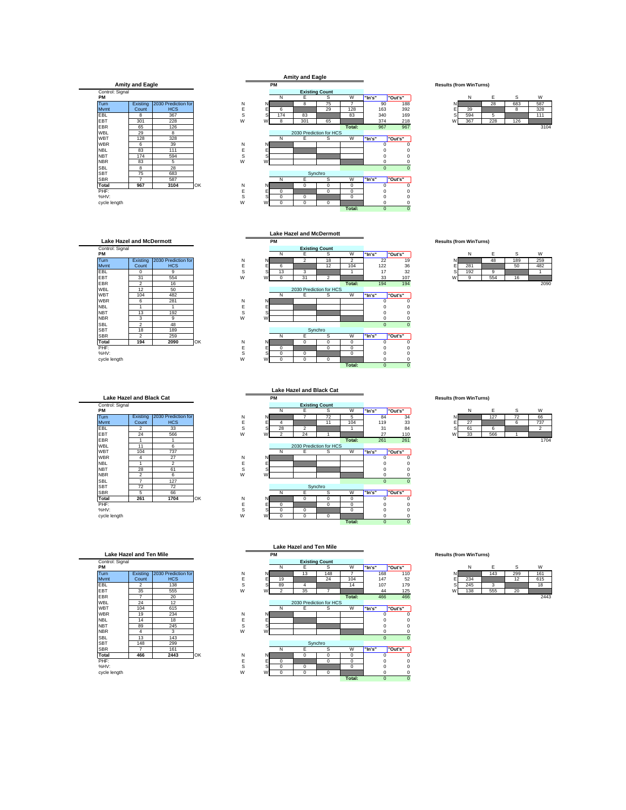



## **Lake Hazel and McDermott**

| Control: Signal |                |                     |    |        |    |             |                | <b>Existing Count</b>   |          |        |          |          |
|-----------------|----------------|---------------------|----|--------|----|-------------|----------------|-------------------------|----------|--------|----------|----------|
| PM              |                |                     |    |        |    | N           | Е              | s                       | W        | "In's" |          | "Out's"  |
| Turn            | Existing       | 2030 Prediction for |    | N      | N. |             | $\overline{2}$ | 18                      | 2        | 22     |          | 19       |
| <b>M</b> vmt    | Count          | <b>HCS</b>          |    | E      | Е  | 6           |                | 12                      | 104      | 122    |          | 36       |
| EBL             | 0              | 9                   |    | S<br>s |    | 13          | 3              |                         |          | 17     |          | 32       |
| EBT             | 31             | 554                 |    | W<br>W |    | $\mathbf 0$ | 31             | $\overline{2}$          |          | 33     |          | 107      |
| EBR             | $\overline{2}$ | 16                  |    |        |    |             |                |                         | Total:   | 194    |          | 194      |
| <b>WBL</b>      | 12             | 50                  |    |        |    |             |                | 2030 Prediction for HCS |          |        |          |          |
| <b>WBT</b>      | 104            | 482                 |    |        |    | N           | Е              | s                       | W        | "In's" |          | "Out's"  |
| <b>WBR</b>      | 6              | 281                 |    | N      | N. |             |                |                         |          |        |          | 0        |
| <b>NBL</b>      |                |                     |    | E<br>Е |    |             |                |                         |          |        |          |          |
| <b>NBT</b>      | 13             | 192                 |    | S<br>S |    |             |                |                         |          |        |          |          |
| <b>NBR</b>      | 3              | 9                   |    | W<br>W |    |             |                |                         |          |        |          | 0        |
| <b>SBL</b>      | $\overline{c}$ | 48                  |    |        |    |             |                |                         |          |        | $\Omega$ | $\Omega$ |
| <b>SBT</b>      | 18             | 189                 |    |        |    |             |                | Synchro                 |          |        |          |          |
| <b>SBR</b>      | $\overline{c}$ | 259                 |    |        |    | N           | E              | s                       | W        | "In's" |          | "Out's"  |
| Total           | 194            | 2090                | OK | N      | N. |             | 0              | 0                       | $\Omega$ |        |          | 0        |
| PHF:            |                |                     |    | E      | E  | $\mathbf 0$ |                | 0                       | 0        |        |          |          |
| %HV:            |                |                     |    | S      | S  | $\mathbf 0$ | $\mathbf 0$    |                         | 0        |        |          | 0        |

| <b>Lake Hazel and Black Cat</b> |                |                     |    |  |  |  |  |
|---------------------------------|----------------|---------------------|----|--|--|--|--|
| Control: Signal                 |                |                     |    |  |  |  |  |
| PM                              |                |                     |    |  |  |  |  |
| Turn                            | Existing       | 2030 Prediction for |    |  |  |  |  |
| Mvmt                            | Count          | <b>HCS</b>          |    |  |  |  |  |
| EBL                             | 2              | 33                  |    |  |  |  |  |
| FRT                             | 24             | 566                 |    |  |  |  |  |
| <b>FBR</b>                      |                |                     |    |  |  |  |  |
| <b>WBL</b>                      | 11             | 6                   |    |  |  |  |  |
| WBT                             | 104            | 737                 |    |  |  |  |  |
| <b>WBR</b>                      | 4              | 27                  |    |  |  |  |  |
| <b>NBL</b>                      |                | $\mathfrak{p}$      |    |  |  |  |  |
| <b>NBT</b>                      | 28             | 61                  |    |  |  |  |  |
| <b>NBR</b>                      | $\overline{2}$ | 6                   |    |  |  |  |  |
| SBI                             | 7              | 127                 |    |  |  |  |  |
| <b>SBT</b>                      | 72             | 72                  |    |  |  |  |  |
| <b>SBR</b>                      | 5              | 66                  |    |  |  |  |  |
| Total                           | 261            | 1704                | OK |  |  |  |  |
| PHF:                            |                |                     |    |  |  |  |  |
| %HV:                            |                |                     |    |  |  |  |  |

| Control: Signal<br>PМ |          |                     |
|-----------------------|----------|---------------------|
| Turn                  | Existing | 2030 Prediction for |
| Mymt                  | Count    | <b>HCS</b>          |
| <b>FBI</b>            | 2        | 138                 |
| <b>FBT</b>            | 35       | 555                 |
| <b>FBR</b>            | 7        | 20                  |
| <b>WBL</b>            | 24       | 12                  |
| <b>WBT</b>            | 104      | 615                 |
| <b>WBR</b>            | 19       | 234                 |
| <b>NBI</b>            | 14       | 18                  |
| <b>NBT</b>            | 89       | 245                 |
| <b>NBR</b>            | 4        | 3                   |
| SBI                   | 13       | 143                 |
| <b>SBT</b>            | 148      | 299                 |
| <b>SBR</b>            |          | 161                 |
| Total                 | 466      | 2443                |



|               | Ν   | Е   | S   | w    |
|---------------|-----|-----|-----|------|
| N             |     | 28  | 683 | 587  |
| $\frac{E}{S}$ | 39  |     | 8   | 328  |
|               | 594 |     |     | 111  |
| w             | 367 | 228 | 126 |      |
|               |     |     |     | 3104 |

**PM Results (from WinTurns) PM** NE SW **"In's" POut's"**<br> **PM** NE SW 12 104 12 22 19<br>
SS 13 3 14 17 32<br>
W 0 31 2 33 107 Turn | Existing |2030 Prediction for | N N | | 2 | 18 | 2 | 22 19 N | 48 | 189 | 259 Mvmt E E 6 12 104 122 36 E 281 50 482 EBL | 0 | 9 | S S| 13 | 3 | 1 | 17 32 S| 192 | 9 | 1 EBT 31 554 W W 0 31 2 33 107 W 9 554 16 EBR 2 16 **Total:** 194 194 2090 WBT 104 482 N E S W **"In's" "Out's"** WBR | 6 | 281 | N N N | | | | 0 0 NBL | 1 | 1 | E E | | | | | 0 0 **Lake Hazel and McDermott Existing Count** 2030 Prediction for HCS

NBR | 3 | 9 | W W | | | | | | | | 0 0 SBL 2 48 0 0 SBR 2 259 N E S W **"In's" "Out's" Total 194 2090** OK N N 0 0 0 0 0 PHF: E E 0 0 0 0 0 %HV: S S 0 0 0 0 0 cycle length W W 0 0 0 0 0 **Total:** 0 0 Synchro

|          |     | F   | Ś   | W    |
|----------|-----|-----|-----|------|
|          |     | 48  | 189 | 259  |
|          | 281 |     | 50  | 482  |
| Ś        | 192 |     |     |      |
| ٨ı<br>v٧ |     | 554 | 16  |      |
|          |     |     |     | 2090 |

**PM Results (from WinTurns) PM**<br> **PM** NE SW **PM** NE SW **PM ST**<br>
Nownt Count HCS E E 4 2 11 104 119 33 B 27 6 737<br>
EBL 2 33 S S 28 2 1 31 84 S 61 6 2<br>
EBT 24 566 1<br>
EBT 1 1 1 WBT 104 737 N E S W **"In's" "Out's"** WBR 4 27 N N 0 0 NBL | 1 | 2 | E E | | | | 0 0 NBT | 28 | 61 | SSS| | | | | | | 0 0 NBR | 2 | 6 | W W | | | | | | | 0 0 SBL 7 127 0 0 SBR 5 66 N E S W **"In's" "Out's" Total 261 1704** OK N N 0 0 0 0 0 PHF: E E 0 0 0 0 0 %HV: S S 0 0 0 0 0 cycle length W W 0 0 0 0 0 **Lake Hazel and Black Cat Existing Count** 2030 Prediction for HCS Syn

|               | N  | F   | Ś  | W    |
|---------------|----|-----|----|------|
|               |    | 127 | 72 | 66   |
| $\frac{E}{S}$ | 27 |     |    | 737  |
|               | 31 |     |    |      |
|               | 33 | 566 |    |      |
|               |    |     |    | 1701 |



|           | <b>Lake Hazel and Ten Mile</b> |  |  |
|-----------|--------------------------------|--|--|
| <b>DA</b> |                                |  |  |



|   | N   | F   | S   | W     |
|---|-----|-----|-----|-------|
| Ν |     | 143 | 299 | 161   |
| E | 234 |     | 12  | 615   |
| s | 245 |     |     | 18    |
| W | 138 | 555 | 20  |       |
|   |     |     |     | 0.442 |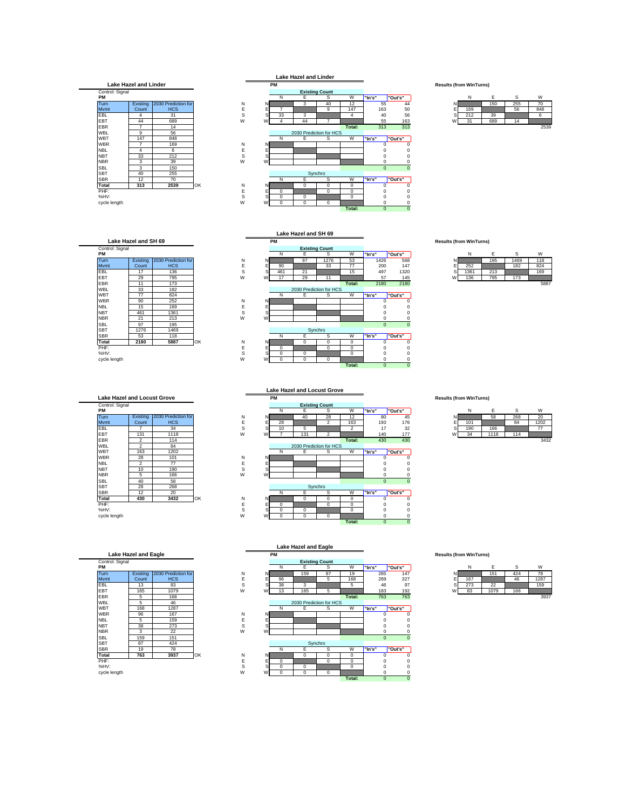## **Lake Hazel and Linder**



## **Lake Hazel and SH 69**

| Control: Signal |          |                     |    |   |    |             |                         | <b>Existing Count</b> |        |              |             |
|-----------------|----------|---------------------|----|---|----|-------------|-------------------------|-----------------------|--------|--------------|-------------|
| PM              |          |                     |    |   |    | N           | Е                       | s                     | W      | "In's"       | "Out's"     |
| Turn            | Existing | 2030 Prediction for |    | N | NI |             | 97                      | 1276                  | 53     | 1426         | 568         |
| <b>M</b> vmt    | Count    | <b>HCS</b>          |    | E | E  | 90          |                         | 33                    | 77     | 200          | 147         |
| EBL             | 17       | 136                 |    | S | S  | 461         | 21                      |                       | 15     | 497          | 1320        |
| EBT             | 29       | 795                 |    | W | W  | 17          | 29                      | 11                    |        | 57           | 145         |
| EBR             | 11       | 173                 |    |   |    |             |                         |                       | Total: | 2180         | 2180        |
| <b>WBL</b>      | 33       | 182                 |    |   |    |             | 2030 Prediction for HCS |                       |        |              |             |
| <b>WBT</b>      | 77       | 824                 |    |   |    | N           | Е                       | s                     | W      | "In's"       | "Out's"     |
| <b>WBR</b>      | 90       | 252                 |    | N | N. |             |                         |                       |        |              | 0           |
| <b>NBL</b>      | 15       | 169                 |    | E | E  |             |                         |                       |        |              |             |
| <b>NBT</b>      | 461      | 1361                |    | S | S  |             |                         |                       |        |              |             |
| <b>NBR</b>      | 21       | 213                 |    | W | W  |             |                         |                       |        |              | 0           |
| <b>SBL</b>      | 97       | 195                 |    |   |    |             |                         |                       |        | $\mathbf{0}$ | $\mathbf 0$ |
| <b>SBT</b>      | 1276     | 1469                |    |   |    |             |                         | Synchro               |        |              |             |
| <b>SBR</b>      | 53       | 118                 |    |   |    | N           | E                       | s                     | W      | "In's"       | "Out's"     |
| Total           | 2180     | 5887                | OK | N | NI |             | 0                       | 0                     | 0      |              | 0           |
| PHF:            |          |                     |    | E | E  | $\mathbf 0$ |                         | 0                     | 0      |              |             |
| %HV:            |          |                     |    | S | S  | $\mathbf 0$ | $\mathbf 0$             |                       | 0      |              | 0           |

cycle length W W 0 0 0 0 0

| <b>Lake Hazel and Locust Grove</b> |                |                     |    |
|------------------------------------|----------------|---------------------|----|
| Control: Signal<br>PM              |                |                     |    |
| Turn                               | Existing       | 2030 Prediction for |    |
| Mymt                               | Count          | <b>HCS</b>          |    |
| EBL                                | 7              | 34                  |    |
| <b>FBT</b>                         | 131            | 1118                |    |
| <b>FBR</b>                         | 2              | 114                 |    |
| WBL                                | $\mathfrak{p}$ | 84                  |    |
| WBT                                | 163            | 1202                |    |
| <b>WBR</b>                         | 28             | 101                 |    |
| <b>NBI</b>                         | $\overline{c}$ | 77                  |    |
| <b>NBT</b>                         | 10             | 190                 |    |
| <b>NBR</b>                         | 5              | 166                 |    |
| <b>SBL</b>                         | 40             | 58                  |    |
| <b>SBT</b>                         | 28             | 268                 |    |
| <b>SBR</b>                         | 12             | 20                  |    |
| Total                              | 430            | 3432                | O۲ |
| PHF:                               |                |                     |    |
| $\%$ HV·                           |                |                     |    |

| Control: Signal<br>PМ |          |                     |
|-----------------------|----------|---------------------|
| Turn                  | Existing | 2030 Prediction for |
| Mymt                  | Count    | <b>HCS</b>          |
| <b>FBI</b>            | 13       | 83                  |
| <b>FBT</b>            | 165      | 1079                |
| <b>FBR</b>            | 5        | 168                 |
| <b>WBL</b>            | 5        | 46                  |
| <b>WBT</b>            | 168      | 1287                |
| <b>WBR</b>            | 96       | 167                 |
| NBL                   | 5        | 159                 |
| <b>NBT</b>            | 38       | 273                 |
| <b>NBR</b>            | 3        | 22                  |
| SBI                   | 159      | 151                 |
| <b>SBT</b>            | 87       | 424                 |
| <b>SBR</b>            | 19       | 78                  |
| Total                 | 763      | 3937                |





|   | N   | F   | Ś   | W    |
|---|-----|-----|-----|------|
| Ν |     | 150 | 255 | 70   |
| E | 169 |     | 56  | 848  |
| S | 212 | 39  |     |      |
|   | 31  | 689 | 14  |      |
|   |     |     |     | 2539 |

**PM Results (from WinTurns)** PM | Existing 2030 Prediction for<br>
Turn | Existing 2030 Prediction for N N E S W "In's" |"Out's" | 668 N E S W<br>
MWmtt Count HCS E E 90 33 77 200 147 E 252 195 1469 118<br>
EBL 17 136 S 461 21 15 497 1320 S 1361 213 169<br>
EBT WBT 77 824 N E S W **"In's" "Out's"** WBR | 90 | 252 | N N N | | | | | 0 0 NBL | 15 | 169 | E E | | | | | | 0 0 NBT 461 1361 S S 0 0 NBR | 21 | 213 | W W | | | | | | | | 0 0 SBL 97 195 0 0 SBR 53 118 N E S W **"In's" "Out's" Total 2180 5887** OK N N 0 0 0 0 0 PHF: E E 0 0 0 0 0 **Lake Hazel and SH 69 Existing Count** 2030 Prediction for HCS Synchro

**Total:** 0 0

|   | N    | F   | ς    | W    |
|---|------|-----|------|------|
|   |      | 195 | 1469 | 118  |
|   | 252  |     | 182  | 824  |
| Ś | 1361 | 213 |      | 169  |
| W | 136  | 795 | 173  |      |
|   |      |     |      | 0.07 |



|   | N   | F    | Ś   | W    |
|---|-----|------|-----|------|
|   |     | 58   | 268 | 20   |
| Е | 101 |      | 84  | 1202 |
| S | 190 | 166  |     |      |
|   | 34  | 1118 | 114 |      |
|   |     |      |     | 3132 |



|   | N   | F    | S   | W     |
|---|-----|------|-----|-------|
| N |     | 151  | 424 | 78    |
|   | 167 |      | 46  | 1287  |
| S | 273 | 22   |     | 159   |
| W | 83  | 1079 | 168 |       |
|   |     |      |     | 0.000 |

|   |          |          | 2030 Prediction for HCS |          |             |         |
|---|----------|----------|-------------------------|----------|-------------|---------|
|   | N        | Е        | S                       | W        | "In's"      | "Out's" |
| Ν |          |          |                         |          | O           |         |
| Е |          |          |                         |          |             |         |
| S |          |          |                         |          |             |         |
| W |          |          |                         |          |             |         |
|   |          |          |                         |          | $\mathbf 0$ |         |
|   |          |          | Synchro                 |          |             |         |
|   | Ν        | F        | Ś                       | W        | "In's"      | "Out's" |
| Ν |          | $\Omega$ | $\Omega$                | 0        | O           |         |
| Е | $\Omega$ |          | $\Omega$                | 0        |             |         |
| S | $\Omega$ | $\Omega$ |                         | $\Omega$ |             |         |
| W | n        | 0        | 0                       |          |             |         |
|   |          |          |                         | Total:   | $\mathbf 0$ |         |
|   |          |          |                         |          |             |         |
|   |          |          |                         |          |             |         |

## **Lake Hazel and Eagle**

|                 |          |                     |    |              |    |          |                         |                       |          |        |              |         |  |   |     |      | $\sim$ |
|-----------------|----------|---------------------|----|--------------|----|----------|-------------------------|-----------------------|----------|--------|--------------|---------|--|---|-----|------|--------|
| Control: Signal |          |                     |    |              |    |          |                         | <b>Existing Count</b> |          |        |              |         |  |   |     |      |        |
| PМ              |          |                     |    |              |    | N        | Е                       | s                     | W        | "In's" |              | "Out's" |  |   | N   | E    | s      |
| <b>Turn</b>     | Existing | 2030 Prediction for |    | N            | N. |          | 159                     | 87                    | 19       |        | 265          | 147     |  |   |     | 151  | 424    |
| Mvmt            | Count    | <b>HCS</b>          |    |              |    | 96       |                         | 5                     | 168      |        | 269          | 327     |  |   | 167 |      | 46     |
| EBL             | 13       | 83                  |    | s            |    | 38       | 3                       |                       | 5        |        | 46           | 97      |  |   | 273 | 22   |        |
| EBT             | 165      | 1079                |    | W            | W  | 13       | 165                     | 5                     |          |        | 183          | 192     |  | W | 83  | 1079 | 168    |
| EBR             | 5        | 168                 |    |              |    |          |                         |                       | Total:   |        | 763          | 763     |  |   |     |      |        |
| WBL             | 5        | 46                  |    |              |    |          | 2030 Prediction for HCS |                       |          |        |              |         |  |   |     |      |        |
| WBT             | 168      | 1287                |    |              |    | N        | Е                       | s                     | W        | "In's" |              | "Out's" |  |   |     |      |        |
| WBR             | 96       | 167                 |    | Ν            | N  |          |                         |                       |          |        |              |         |  |   |     |      |        |
| <b>NBL</b>      | 5        | 159                 |    |              |    |          |                         |                       |          |        |              |         |  |   |     |      |        |
| NBT             | 38       | 273                 |    | s            |    |          |                         |                       |          |        |              | C       |  |   |     |      |        |
| NBR             | 3        | 22                  |    | W            | w  |          |                         |                       |          |        |              |         |  |   |     |      |        |
| SBL             | 159      | 151                 |    |              |    |          |                         |                       |          |        | $\Omega$     |         |  |   |     |      |        |
| SBT             | 87       | 424                 |    |              |    |          |                         | Synchro               |          |        |              |         |  |   |     |      |        |
| SBR             | 19       | 78                  |    |              |    | Ν        | Е                       | s                     | W        | "In's" |              | "Out's" |  |   |     |      |        |
| Total           | 763      | 3937                | OK | N            | NI |          | 0                       | 0                     | $\Omega$ |        |              |         |  |   |     |      |        |
| PHF:            |          |                     |    |              |    | $\Omega$ |                         | $^{\circ}$            | 0        |        |              |         |  |   |     |      |        |
| %HV:            |          |                     |    | $\sim$<br>C. |    | $\Omega$ | $\Omega$                |                       | $\Omega$ |        |              |         |  |   |     |      |        |
| cycle length    |          |                     |    | W            | W  | 0        | 0                       | $^{\circ}$            |          |        |              |         |  |   |     |      |        |
|                 |          |                     |    |              |    |          |                         |                       | Total:   |        | $\mathbf{0}$ |         |  |   |     |      |        |

| Lake Hazel and Eagle  |                                |
|-----------------------|--------------------------------|
| PM                    | <b>Results (from WinTurns)</b> |
| <b>Existing Count</b> |                                |

|   | N   | F   | s   |  |
|---|-----|-----|-----|--|
|   |     | 151 | 124 |  |
| Ξ | 167 |     | 46  |  |
| ~ | つフマ |     |     |  |